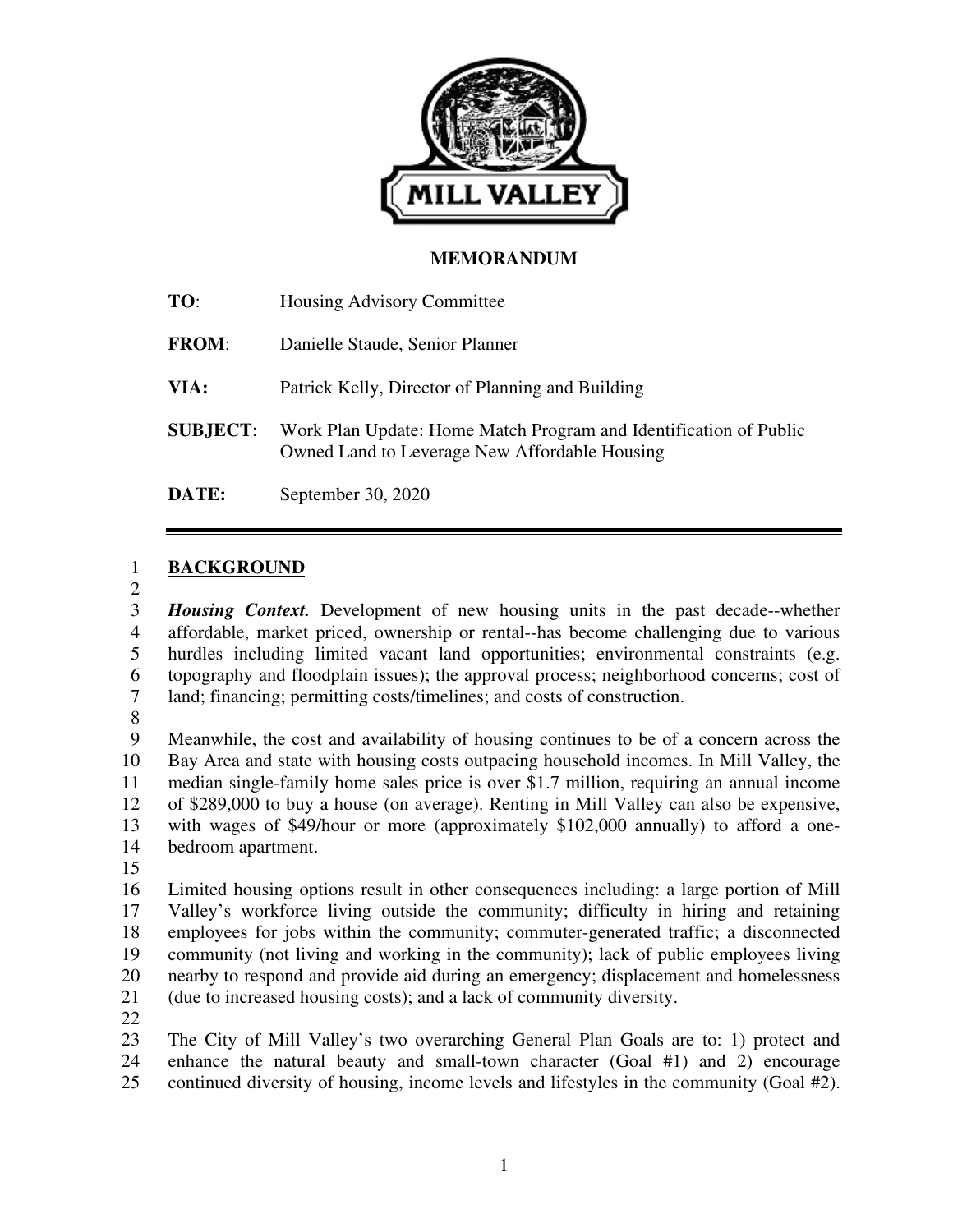

#### **MEMORANDUM**

| TO:             | Housing Advisory Committee                                                                                         |
|-----------------|--------------------------------------------------------------------------------------------------------------------|
| <b>FROM:</b>    | Danielle Staude, Senior Planner                                                                                    |
| VIA:            | Patrick Kelly, Director of Planning and Building                                                                   |
| <b>SUBJECT:</b> | Work Plan Update: Home Match Program and Identification of Public<br>Owned Land to Leverage New Affordable Housing |
| <b>DATE:</b>    | September 30, 2020                                                                                                 |

#### 1 **BACKGROUND**

2

3 *Housing Context.* Development of new housing units in the past decade--whether 4 affordable, market priced, ownership or rental--has become challenging due to various 5 hurdles including limited vacant land opportunities; environmental constraints (e.g. 6 topography and floodplain issues); the approval process; neighborhood concerns; cost of 7 land; financing; permitting costs/timelines; and costs of construction.

8

9 Meanwhile, the cost and availability of housing continues to be of a concern across the 10 Bay Area and state with housing costs outpacing household incomes. In Mill Valley, the 11 median single-family home sales price is over \$1.7 million, requiring an annual income 12 of \$289,000 to buy a house (on average). Renting in Mill Valley can also be expensive, 13 with wages of \$49/hour or more (approximately \$102,000 annually) to afford a one-14 bedroom apartment.

15

16 Limited housing options result in other consequences including: a large portion of Mill 17 Valley's workforce living outside the community; difficulty in hiring and retaining 18 employees for jobs within the community; commuter-generated traffic; a disconnected 19 community (not living and working in the community); lack of public employees living 20 nearby to respond and provide aid during an emergency; displacement and homelessness 21 (due to increased housing costs); and a lack of community diversity.

22

23 The City of Mill Valley's two overarching General Plan Goals are to: 1) protect and 24 enhance the natural beauty and small-town character (Goal #1) and 2) encourage 25 continued diversity of housing, income levels and lifestyles in the community (Goal #2).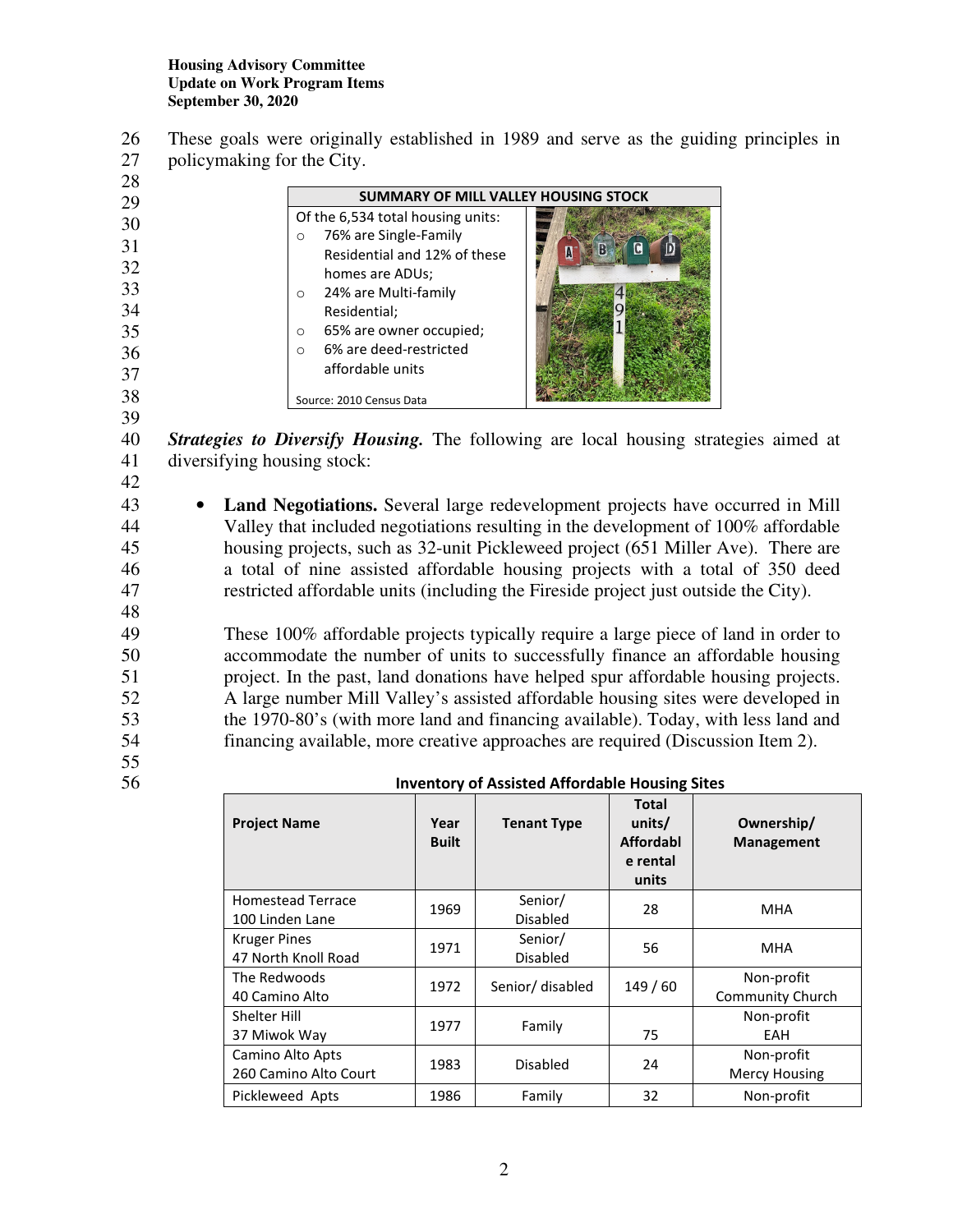26 These goals were originally established in 1989 and serve as the guiding principles in 27 policymaking for the City.

| 28 |                                    |                                             |  |  |  |  |
|----|------------------------------------|---------------------------------------------|--|--|--|--|
| 29 |                                    | <b>SUMMARY OF MILL VALLEY HOUSING STOCK</b> |  |  |  |  |
| 30 | Of the 6,534 total housing units:  |                                             |  |  |  |  |
| 31 | 76% are Single-Family<br>$\Omega$  |                                             |  |  |  |  |
|    | Residential and 12% of these       |                                             |  |  |  |  |
| 32 | homes are ADUs;                    |                                             |  |  |  |  |
| 33 | 24% are Multi-family<br>$\Omega$   |                                             |  |  |  |  |
| 34 | Residential;                       |                                             |  |  |  |  |
| 35 | 65% are owner occupied;<br>$\circ$ |                                             |  |  |  |  |
| 36 | 6% are deed-restricted<br>$\Omega$ |                                             |  |  |  |  |
| 37 | affordable units                   |                                             |  |  |  |  |
| 38 | Source: 2010 Census Data           |                                             |  |  |  |  |

40 *Strategies to Diversify Housing.* The following are local housing strategies aimed at 41 diversifying housing stock:

42

48

39

43 • **Land Negotiations.** Several large redevelopment projects have occurred in Mill 44 Valley that included negotiations resulting in the development of 100% affordable 45 housing projects, such as 32-unit Pickleweed project (651 Miller Ave). There are 46 a total of nine assisted affordable housing projects with a total of 350 deed 47 restricted affordable units (including the Fireside project just outside the City).

49 These 100% affordable projects typically require a large piece of land in order to 50 accommodate the number of units to successfully finance an affordable housing 51 project. In the past, land donations have helped spur affordable housing projects. 52 A large number Mill Valley's assisted affordable housing sites were developed in 53 the 1970-80's (with more land and financing available). Today, with less land and 54 financing available, more creative approaches are required (Discussion Item 2).

55

56 **Inventory of Assisted Affordable Housing Sites** 

| <b>Project Name</b>                         | Year<br><b>Built</b> | <b>Tenant Type</b>         | Total<br>units/<br><b>Affordabl</b><br>e rental<br>units | Ownership/<br><b>Management</b>       |
|---------------------------------------------|----------------------|----------------------------|----------------------------------------------------------|---------------------------------------|
| <b>Homestead Terrace</b><br>100 Linden Lane | 1969                 | Senior/<br><b>Disabled</b> | 28                                                       | MHA                                   |
| <b>Kruger Pines</b><br>47 North Knoll Road  | 1971                 | Senior/<br><b>Disabled</b> | 56                                                       | <b>MHA</b>                            |
| The Redwoods<br>40 Camino Alto              | 1972                 | Senior/ disabled           | 149/60                                                   | Non-profit<br><b>Community Church</b> |
| Shelter Hill<br>37 Miwok Way                | 1977                 | Family                     | 75                                                       | Non-profit<br>EAH                     |
| Camino Alto Apts<br>260 Camino Alto Court   | 1983                 | <b>Disabled</b>            | 24                                                       | Non-profit<br><b>Mercy Housing</b>    |
| Pickleweed Apts                             | 1986                 | Family                     | 32                                                       | Non-profit                            |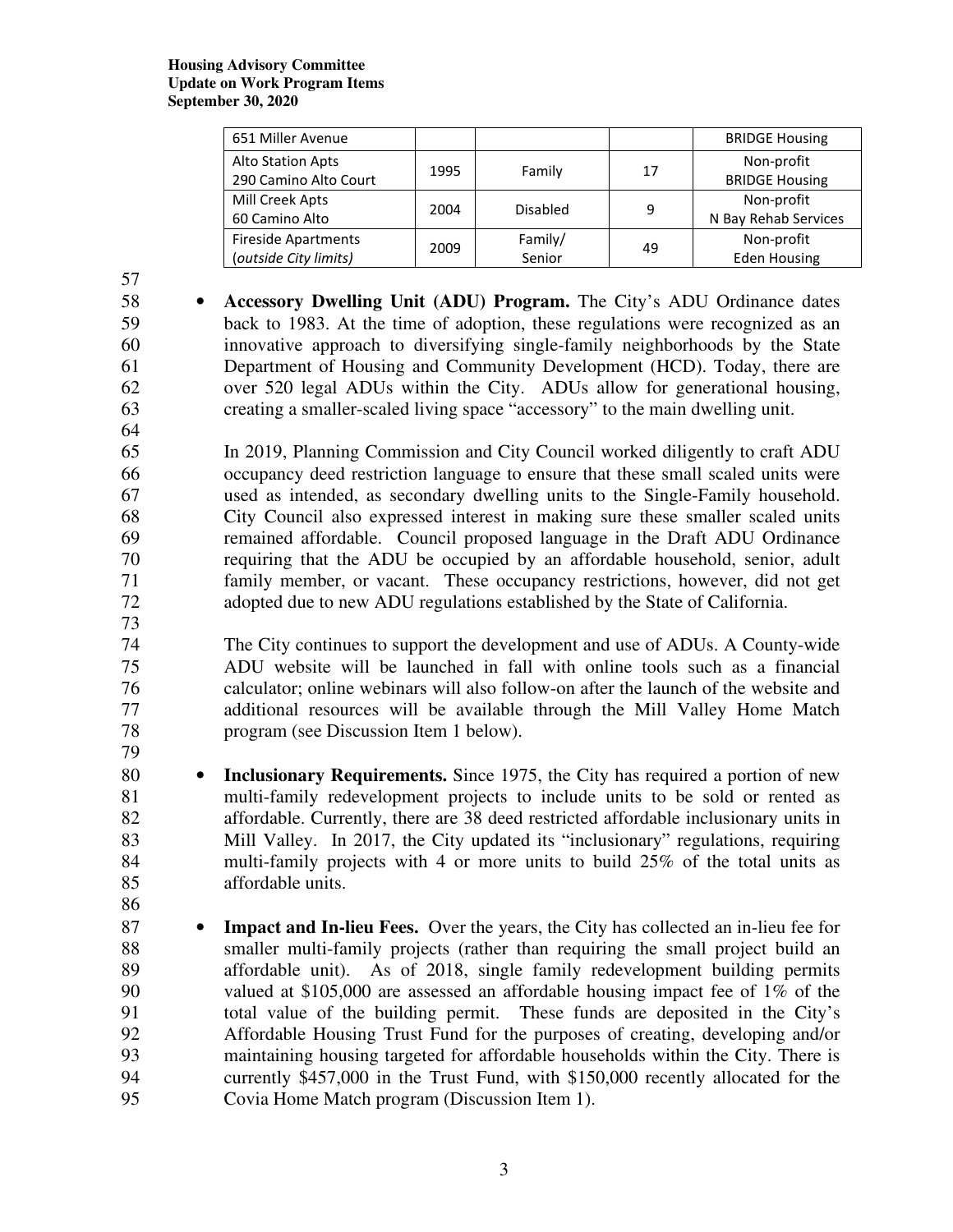#### **Housing Advisory Committee Update on Work Program Items September 30, 2020**

| 651 Miller Avenue          |      |          |    | <b>BRIDGE Housing</b> |
|----------------------------|------|----------|----|-----------------------|
| Alto Station Apts          | 1995 | Family   | 17 | Non-profit            |
| 290 Camino Alto Court      |      |          |    | <b>BRIDGE Housing</b> |
| Mill Creek Apts            |      |          |    | Non-profit            |
| 60 Camino Alto             | 2004 | Disabled | 9  | N Bay Rehab Services  |
| <b>Fireside Apartments</b> | 2009 | Family/  | 49 | Non-profit            |
| (outside City limits)      |      | Senior   |    | <b>Eden Housing</b>   |

57

- 58 **Accessory Dwelling Unit (ADU) Program.** The City's ADU Ordinance dates 59 back to 1983. At the time of adoption, these regulations were recognized as an 60 innovative approach to diversifying single-family neighborhoods by the State 61 Department of Housing and Community Development (HCD). Today, there are 62 over 520 legal ADUs within the City. ADUs allow for generational housing, 63 creating a smaller-scaled living space "accessory" to the main dwelling unit. 64
- 65 In 2019, Planning Commission and City Council worked diligently to craft ADU 66 occupancy deed restriction language to ensure that these small scaled units were 67 used as intended, as secondary dwelling units to the Single-Family household. 68 City Council also expressed interest in making sure these smaller scaled units 69 remained affordable. Council proposed language in the Draft ADU Ordinance 70 requiring that the ADU be occupied by an affordable household, senior, adult 71 family member, or vacant. These occupancy restrictions, however, did not get 72 adopted due to new ADU regulations established by the State of California. 73
- 74 The City continues to support the development and use of ADUs. A County-wide 75 ADU website will be launched in fall with online tools such as a financial 76 calculator; online webinars will also follow-on after the launch of the website and 77 additional resources will be available through the Mill Valley Home Match 78 program (see Discussion Item 1 below).
- 80 **Inclusionary Requirements.** Since 1975, the City has required a portion of new 81 multi-family redevelopment projects to include units to be sold or rented as 82 affordable. Currently, there are 38 deed restricted affordable inclusionary units in 83 Mill Valley. In 2017, the City updated its "inclusionary" regulations, requiring 84 multi-family projects with 4 or more units to build 25% of the total units as 85 affordable units.
- 86

79

87 • **Impact and In-lieu Fees.** Over the years, the City has collected an in-lieu fee for 88 smaller multi-family projects (rather than requiring the small project build an 89 affordable unit). As of 2018, single family redevelopment building permits 90 valued at \$105,000 are assessed an affordable housing impact fee of 1% of the 91 total value of the building permit. These funds are deposited in the City's 92 Affordable Housing Trust Fund for the purposes of creating, developing and/or 93 maintaining housing targeted for affordable households within the City. There is 94 currently \$457,000 in the Trust Fund, with \$150,000 recently allocated for the 95 Covia Home Match program (Discussion Item 1).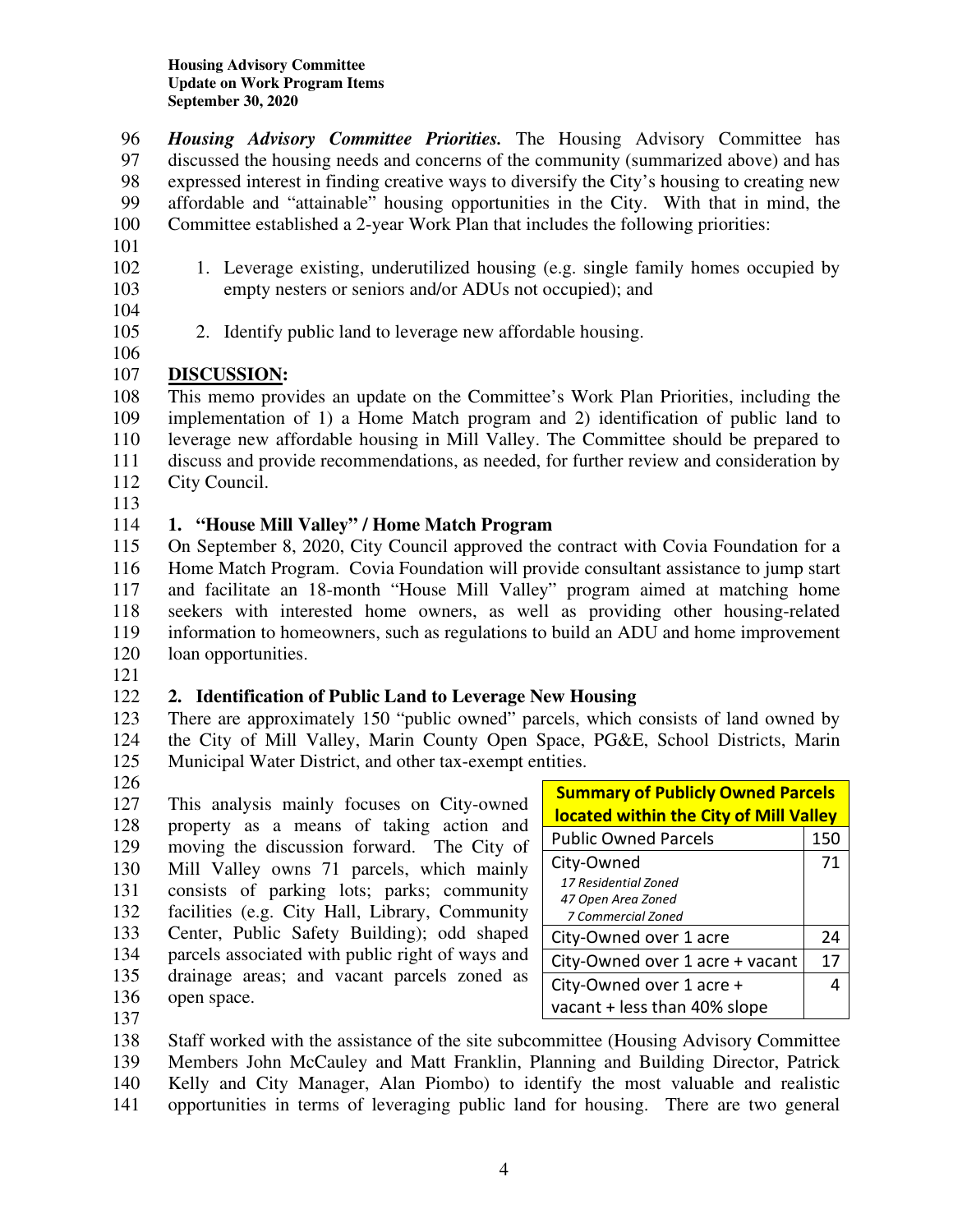96 *Housing Advisory Committee Priorities.* The Housing Advisory Committee has 97 discussed the housing needs and concerns of the community (summarized above) and has 98 expressed interest in finding creative ways to diversify the City's housing to creating new 99 affordable and "attainable" housing opportunities in the City. With that in mind, the 100 Committee established a 2-year Work Plan that includes the following priorities:

- 101
- 
- 102 1. Leverage existing, underutilized housing (e.g. single family homes occupied by 103 empty nesters or seniors and/or ADUs not occupied); and
- 104

106

- 105 2. Identify public land to leverage new affordable housing.
- 107 **DISCUSSION:**

108 This memo provides an update on the Committee's Work Plan Priorities, including the 109 implementation of 1) a Home Match program and 2) identification of public land to 110 leverage new affordable housing in Mill Valley. The Committee should be prepared to 111 discuss and provide recommendations, as needed, for further review and consideration by 112 City Council.

113

# 114 **1. "House Mill Valley" / Home Match Program**

115 On September 8, 2020, City Council approved the contract with Covia Foundation for a 116 Home Match Program. Covia Foundation will provide consultant assistance to jump start 117 and facilitate an 18-month "House Mill Valley" program aimed at matching home 118 seekers with interested home owners, as well as providing other housing-related 119 information to homeowners, such as regulations to build an ADU and home improvement 120 loan opportunities.

121

# 122 **2. Identification of Public Land to Leverage New Housing**

123 There are approximately 150 "public owned" parcels, which consists of land owned by 124 the City of Mill Valley, Marin County Open Space, PG&E, School Districts, Marin 125 Municipal Water District, and other tax-exempt entities.

126

127 This analysis mainly focuses on City-owned 128 property as a means of taking action and 129 moving the discussion forward. The City of 130 Mill Valley owns 71 parcels, which mainly 131 consists of parking lots; parks; community 132 facilities (e.g. City Hall, Library, Community 133 Center, Public Safety Building); odd shaped 134 parcels associated with public right of ways and 135 drainage areas; and vacant parcels zoned as 136 open space.

| <b>Summary of Publicly Owned Parcels</b> |     |  |  |
|------------------------------------------|-----|--|--|
| located within the City of Mill Valley   |     |  |  |
| <b>Public Owned Parcels</b>              | 150 |  |  |
| City-Owned                               | 71  |  |  |
| 17 Residential Zoned                     |     |  |  |
| 47 Open Area Zoned                       |     |  |  |
| 7 Commercial Zoned                       |     |  |  |
| City-Owned over 1 acre                   | 24  |  |  |
| City-Owned over 1 acre + vacant          | 17  |  |  |
| City-Owned over 1 acre +                 |     |  |  |
| vacant + less than 40% slope             |     |  |  |

137

138 Staff worked with the assistance of the site subcommittee (Housing Advisory Committee 139 Members John McCauley and Matt Franklin, Planning and Building Director, Patrick 140 Kelly and City Manager, Alan Piombo) to identify the most valuable and realistic 141 opportunities in terms of leveraging public land for housing. There are two general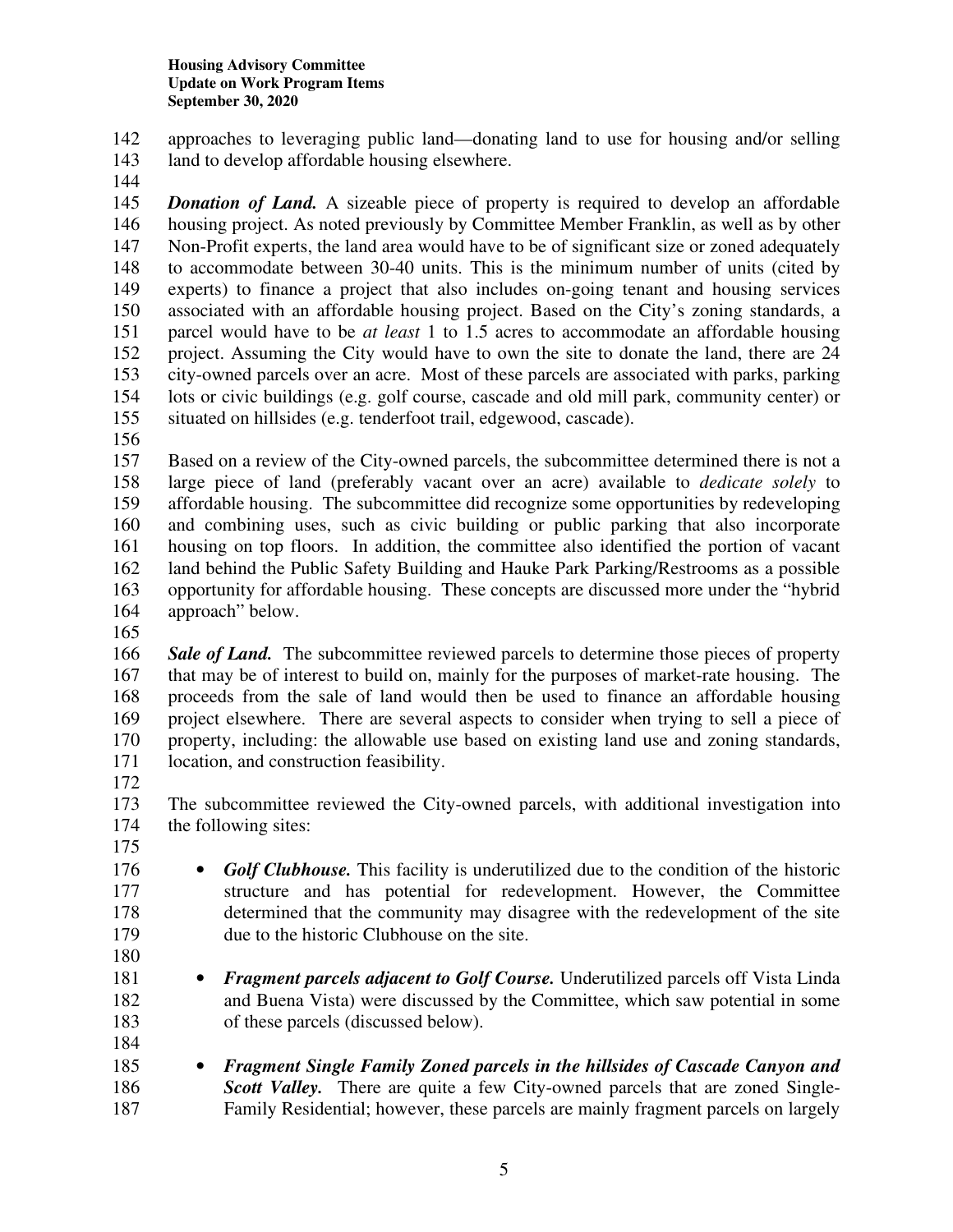142 approaches to leveraging public land—donating land to use for housing and/or selling

- 143 land to develop affordable housing elsewhere.
- 144

145 *Donation of Land.* A sizeable piece of property is required to develop an affordable 146 housing project. As noted previously by Committee Member Franklin, as well as by other 147 Non-Profit experts, the land area would have to be of significant size or zoned adequately 148 to accommodate between 30-40 units. This is the minimum number of units (cited by 149 experts) to finance a project that also includes on-going tenant and housing services 150 associated with an affordable housing project. Based on the City's zoning standards, a 151 parcel would have to be *at least* 1 to 1.5 acres to accommodate an affordable housing 152 project. Assuming the City would have to own the site to donate the land, there are 24 153 city-owned parcels over an acre. Most of these parcels are associated with parks, parking 154 lots or civic buildings (e.g. golf course, cascade and old mill park, community center) or 155 situated on hillsides (e.g. tenderfoot trail, edgewood, cascade).

156

157 Based on a review of the City-owned parcels, the subcommittee determined there is not a 158 large piece of land (preferably vacant over an acre) available to *dedicate solely* to 159 affordable housing. The subcommittee did recognize some opportunities by redeveloping 160 and combining uses, such as civic building or public parking that also incorporate 161 housing on top floors. In addition, the committee also identified the portion of vacant 162 land behind the Public Safety Building and Hauke Park Parking/Restrooms as a possible 163 opportunity for affordable housing. These concepts are discussed more under the "hybrid 164 approach" below.

165

166 *Sale of Land.* The subcommittee reviewed parcels to determine those pieces of property 167 that may be of interest to build on, mainly for the purposes of market-rate housing. The 168 proceeds from the sale of land would then be used to finance an affordable housing 169 project elsewhere. There are several aspects to consider when trying to sell a piece of 170 property, including: the allowable use based on existing land use and zoning standards, 171 location, and construction feasibility.

172

173 The subcommittee reviewed the City-owned parcels, with additional investigation into the following sites: the following sites:

175

176 • *Golf Clubhouse*. This facility is underutilized due to the condition of the historic 177 structure and has potential for redevelopment. However, the Committee 178 determined that the community may disagree with the redevelopment of the site 179 due to the historic Clubhouse on the site.

180

181 • *Fragment parcels adjacent to Golf Course.* Underutilized parcels off Vista Linda 182 and Buena Vista) were discussed by the Committee, which saw potential in some 183 of these parcels (discussed below). 184

185 • *Fragment Single Family Zoned parcels in the hillsides of Cascade Canyon and*  186 *Scott Valley.* There are quite a few City-owned parcels that are zoned Single-187 Family Residential; however, these parcels are mainly fragment parcels on largely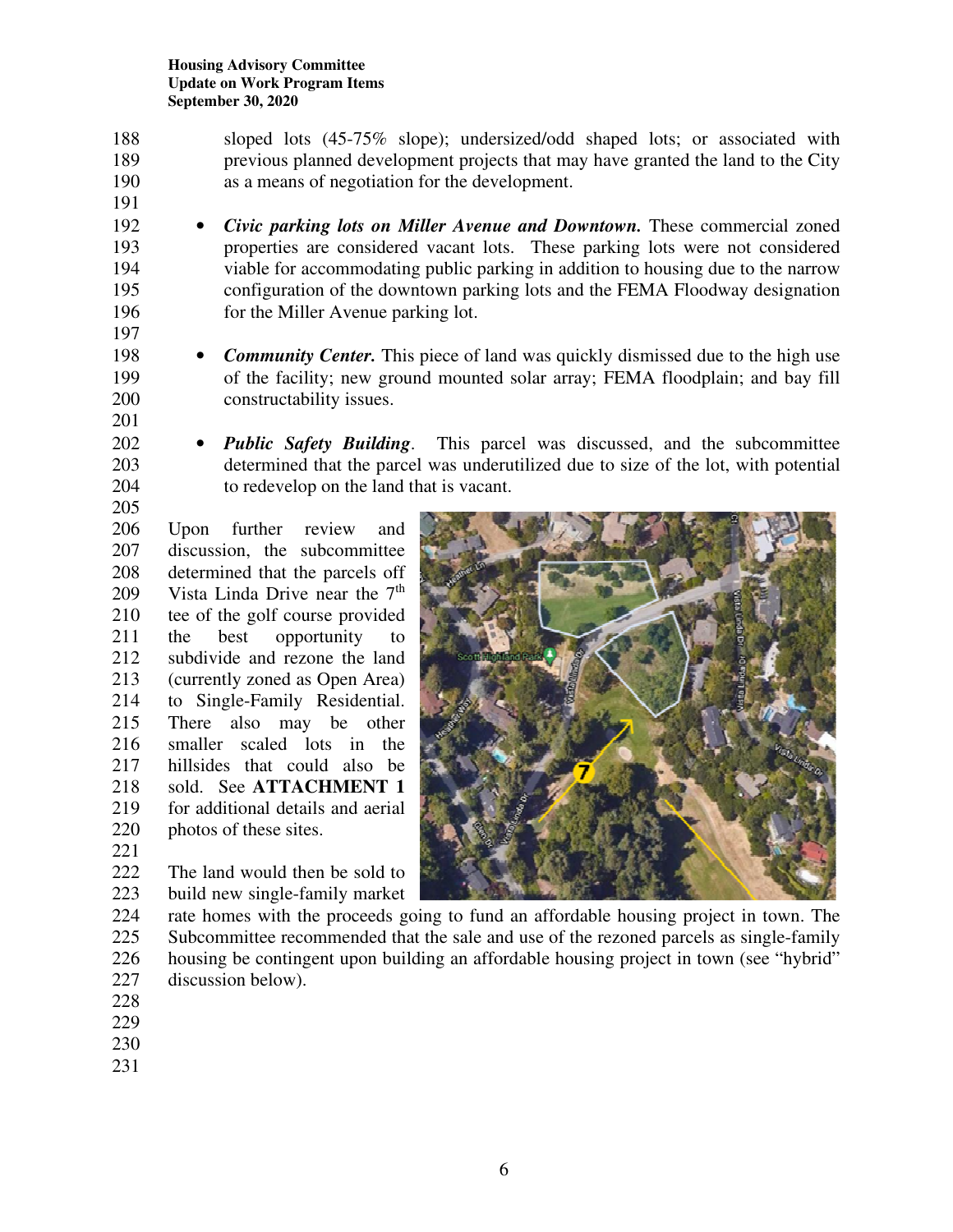- 188 sloped lots (45-75% slope); undersized/odd shaped lots; or associated with 189 previous planned development projects that may have granted the land to the City 190 as a means of negotiation for the development.
- 192 *Civic parking lots on Miller Avenue and Downtown.* These commercial zoned 193 properties are considered vacant lots. These parking lots were not considered 194 viable for accommodating public parking in addition to housing due to the narrow 195 configuration of the downtown parking lots and the FEMA Floodway designation 196 for the Miller Avenue parking lot.
- 198 **Community Center.** This piece of land was quickly dismissed due to the high use 199 of the facility; new ground mounted solar array; FEMA floodplain; and bay fill 200 constructability issues.
- 202 *Public Safety Building*. This parcel was discussed, and the subcommittee 203 determined that the parcel was underutilized due to size of the lot, with potential 204 to redevelop on the land that is vacant.

205 206 Upon further review and 207 discussion, the subcommittee 208 determined that the parcels off 209 Vista Linda Drive near the  $7<sup>th</sup>$ 210 tee of the golf course provided 211 the best opportunity to 212 subdivide and rezone the land 213 (currently zoned as Open Area) 214 to Single-Family Residential. 215 There also may be other 216 smaller scaled lots in the 217 hillsides that could also be 218 sold. See **ATTACHMENT 1** 219 for additional details and aerial 220 photos of these sites.

- 
- 222 The land would then be sold to 223 build new single-family market
- 224 rate homes with the proceeds going to fund an affordable housing project in town. The 225 Subcommittee recommended that the sale and use of the rezoned parcels as single-family 226 housing be contingent upon building an affordable housing project in town (see "hybrid" 227 discussion below).
- 228

221

191

197

201

- 229
- 230
- 231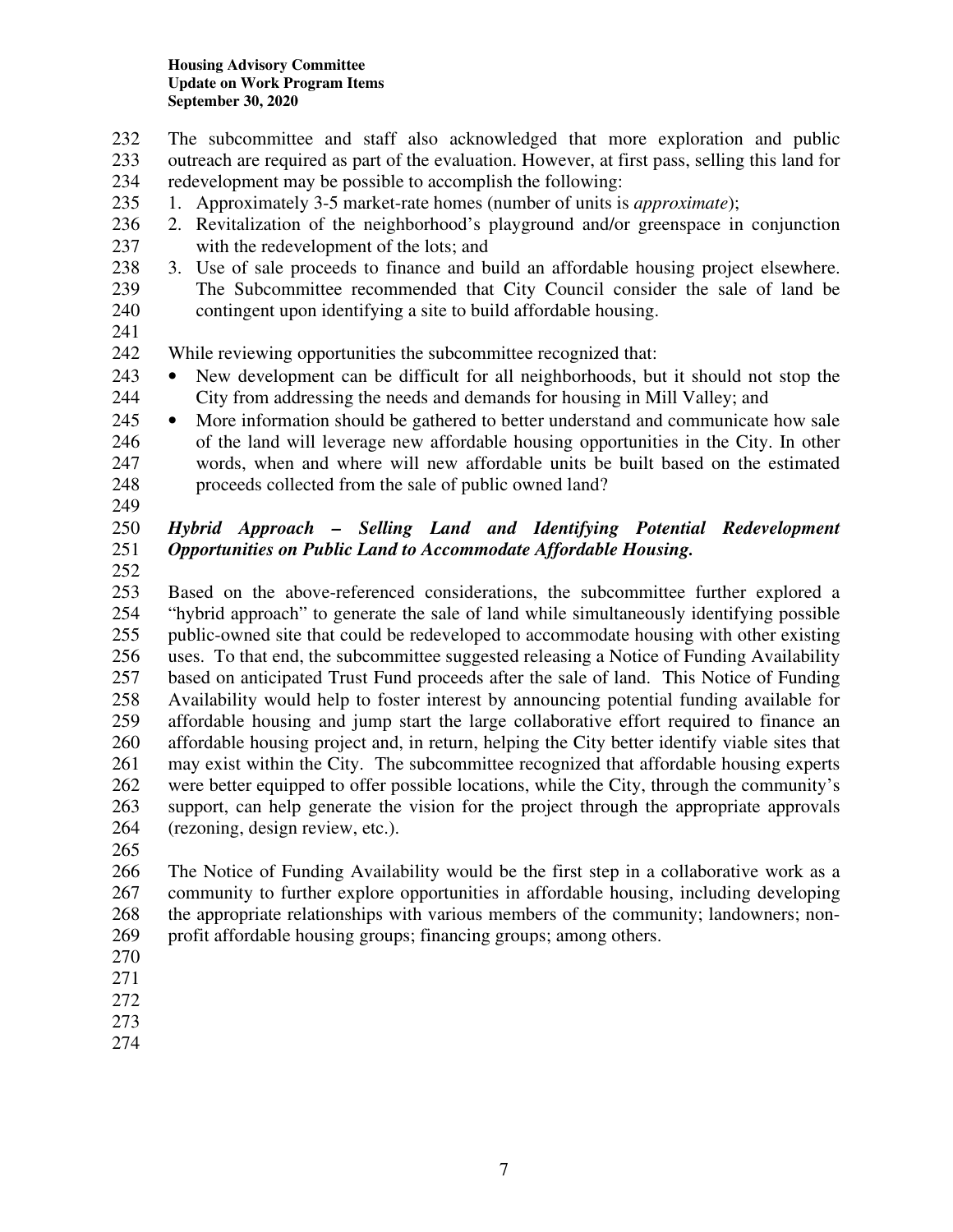- 232 The subcommittee and staff also acknowledged that more exploration and public 233 outreach are required as part of the evaluation. However, at first pass, selling this land for 234 redevelopment may be possible to accomplish the following:
- 235 1. Approximately 3-5 market-rate homes (number of units is *approximate*);
- 236 2. Revitalization of the neighborhood's playground and/or greenspace in conjunction 237 with the redevelopment of the lots; and
- 238 3. Use of sale proceeds to finance and build an affordable housing project elsewhere. 239 The Subcommittee recommended that City Council consider the sale of land be 240 contingent upon identifying a site to build affordable housing.
- 241

242 While reviewing opportunities the subcommittee recognized that:

- 243 New development can be difficult for all neighborhoods, but it should not stop the 244 City from addressing the needs and demands for housing in Mill Valley; and
- 245 More information should be gathered to better understand and communicate how sale 246 of the land will leverage new affordable housing opportunities in the City. In other 247 words, when and where will new affordable units be built based on the estimated 248 proceeds collected from the sale of public owned land?
- 249

#### 250 *Hybrid Approach – Selling Land and Identifying Potential Redevelopment*  251 *Opportunities on Public Land to Accommodate Affordable Housing.*

252

253 Based on the above-referenced considerations, the subcommittee further explored a 254 "hybrid approach" to generate the sale of land while simultaneously identifying possible 255 public-owned site that could be redeveloped to accommodate housing with other existing 256 uses. To that end, the subcommittee suggested releasing a Notice of Funding Availability 257 based on anticipated Trust Fund proceeds after the sale of land. This Notice of Funding 258 Availability would help to foster interest by announcing potential funding available for 259 affordable housing and jump start the large collaborative effort required to finance an 260 affordable housing project and, in return, helping the City better identify viable sites that 261 may exist within the City. The subcommittee recognized that affordable housing experts 262 were better equipped to offer possible locations, while the City, through the community's 263 support, can help generate the vision for the project through the appropriate approvals 264 (rezoning, design review, etc.).

265

266 The Notice of Funding Availability would be the first step in a collaborative work as a 267 community to further explore opportunities in affordable housing, including developing 268 the appropriate relationships with various members of the community; landowners; non-269 profit affordable housing groups; financing groups; among others.

- 270
- 271
- 272 273
- 274
-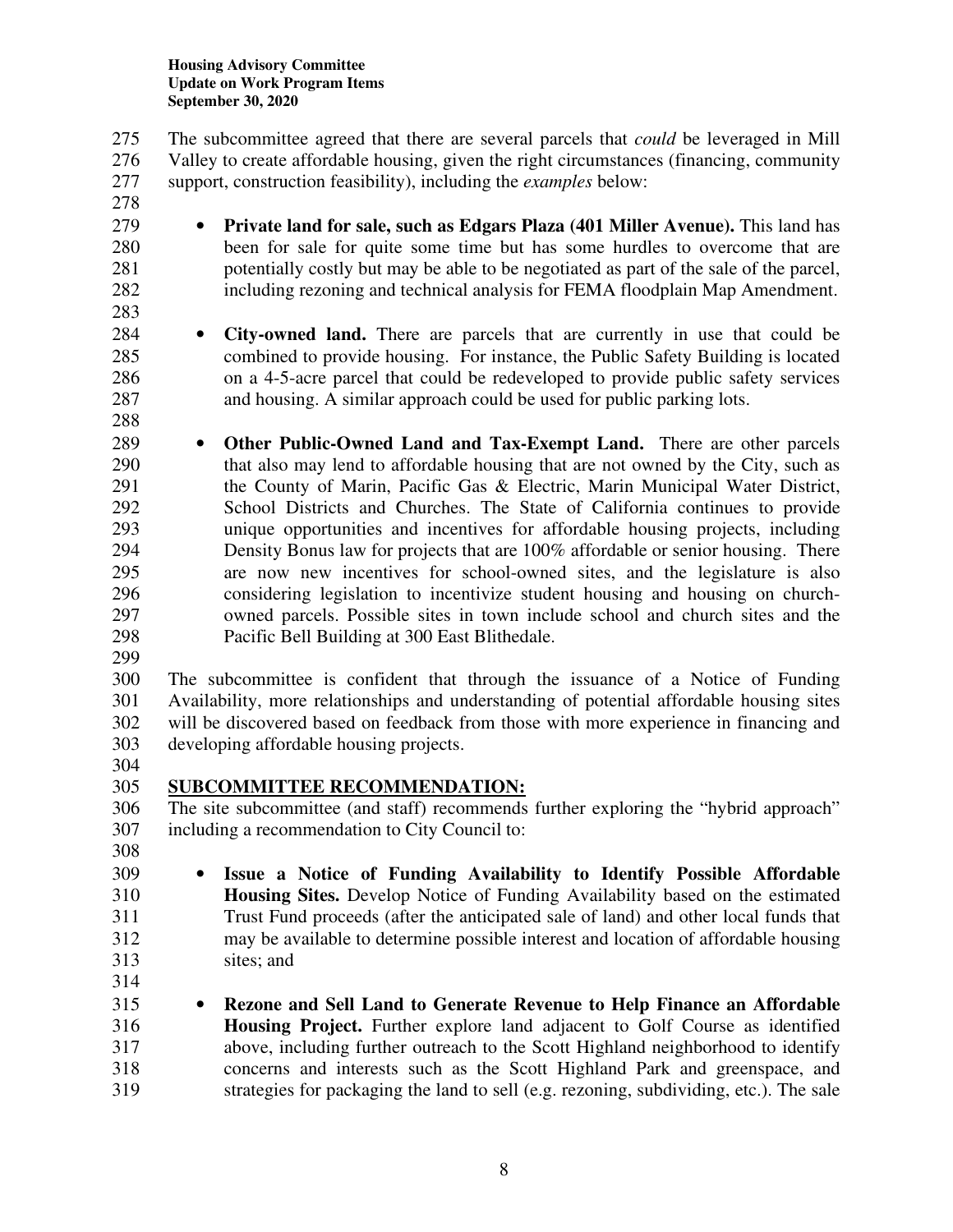275 The subcommittee agreed that there are several parcels that *could* be leveraged in Mill 276 Valley to create affordable housing, given the right circumstances (financing, community 277 support, construction feasibility), including the *examples* below:

- 278
- 
- 279 **Private land for sale, such as Edgars Plaza (401 Miller Avenue).** This land has 280 been for sale for quite some time but has some hurdles to overcome that are 281 potentially costly but may be able to be negotiated as part of the sale of the parcel, 282 including rezoning and technical analysis for FEMA floodplain Map Amendment.
- 283
- 

284 • **City-owned land.** There are parcels that are currently in use that could be 285 combined to provide housing. For instance, the Public Safety Building is located 286 on a 4-5-acre parcel that could be redeveloped to provide public safety services 287 and housing. A similar approach could be used for public parking lots.

- 288
- 289 **Other Public-Owned Land and Tax-Exempt Land.** There are other parcels 290 that also may lend to affordable housing that are not owned by the City, such as 291 the County of Marin, Pacific Gas & Electric, Marin Municipal Water District, 292 School Districts and Churches. The State of California continues to provide 293 unique opportunities and incentives for affordable housing projects, including 294 Density Bonus law for projects that are 100% affordable or senior housing. There 295 are now new incentives for school-owned sites, and the legislature is also 296 considering legislation to incentivize student housing and housing on church-297 owned parcels. Possible sites in town include school and church sites and the 298 Pacific Bell Building at 300 East Blithedale.
- 299

300 The subcommittee is confident that through the issuance of a Notice of Funding 301 Availability, more relationships and understanding of potential affordable housing sites 302 will be discovered based on feedback from those with more experience in financing and 303 developing affordable housing projects.

304

# 305 **SUBCOMMITTEE RECOMMENDATION:**

306 The site subcommittee (and staff) recommends further exploring the "hybrid approach" 307 including a recommendation to City Council to:

308

309 • **Issue a Notice of Funding Availability to Identify Possible Affordable**  310 **Housing Sites.** Develop Notice of Funding Availability based on the estimated 311 Trust Fund proceeds (after the anticipated sale of land) and other local funds that 312 may be available to determine possible interest and location of affordable housing 313 sites; and

- 314
- 315 **Rezone and Sell Land to Generate Revenue to Help Finance an Affordable**  316 **Housing Project.** Further explore land adjacent to Golf Course as identified 317 above, including further outreach to the Scott Highland neighborhood to identify 318 concerns and interests such as the Scott Highland Park and greenspace, and 319 strategies for packaging the land to sell (e.g. rezoning, subdividing, etc.). The sale